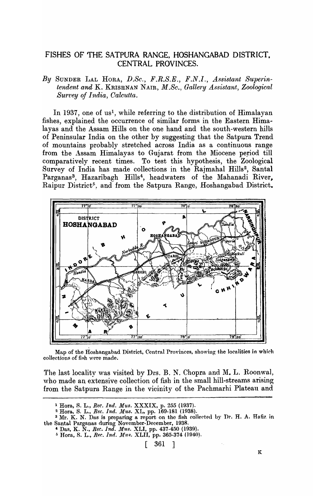# FISHES OF THE SATPURA RANGE, HOSHANGABAD DISTRICT. CENTRAL PROVINCES.

By SUNDER LAL HORA, D.Sc., F.R.S.E., F.N.I., Assistant Superin*tendent and* K. KRISHNAN NAIR, *M.Sc., Gallery Assistant, Zoological Surt'ey of India, Calcutta.* 

In 1937, one of us<sup>1</sup>, while referring to the distribution of Himalayan fishes, explained the occurrence of similar forms in the Eastern Himalayas and the Assam Hills on the one hand and the south-western hills of Peninsular India on the other by suggesting that the Satpura Trend of mountains probably stretched across India. as a continuous range from the Assam Himalayas to Gujarat from the Miocene period till comparatively recent times. To test this hypothesis, the Zoological Survey of India has made collections in the Rajmahal Hills<sup>2</sup>, Santal Parganas<sup>3</sup>, Hazaribagh Hills<sup>4</sup>, headwaters of the Mahanadi River, Raipur District<sup>5</sup>, and from the Satpura Range, Hoshangabad District.



Map of the Hoshangabad District, Central Provinces, showing the localities in which collections of fish were made.

The last locality was visited by Drs. B. N. Chopra and M. L. Roonwal, who made an extensive collection of fish in the small hill-streams arising from the Satpura Range in the vicinity of the Pachmarhi Plateau and

<sup>5</sup> Hora, S. L., *Rec. Ind. Mus. XLII*, pp. 365-374 (1940).

<sup>&</sup>lt;sup>1</sup> Hora, S. L., *Rec. Ind. Mus. XXXIX*, p. 255 (1937).

<sup>&</sup>lt;sup>2</sup> Hora, S. L., Rec. Ind. Mus. XL, pp. 169-181 (1938).

<sup>&</sup>lt;sup>3</sup> Mr. K. N. Das is preparing a report on the fish collected by Dr. H. A. Hafiz in the Santal Parganas during November-December, 1938.<br>
<sup>4</sup> Das, K. N., *Rec. Ind. Mus.* XLI, pp. 437-450 (1939).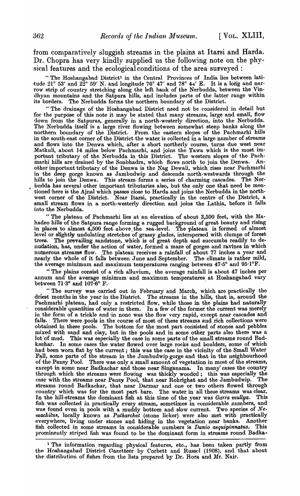from comparatively sluggish streams in the plains at Itarsi and Harda. Dr. Chopra has very kindly supplied us the following note on the physical features and the ecological conditions of the area surveyed :

" The Hoshangabad District<sup>1</sup> in the Central Provinces of India lies between latitude  $21^{\circ}$  53' and  $22^{\circ}$  59' N. and longitude 76° 47' and 78° 44' E. It is a long and narrow strip of country stretching along the left bank of the Nerbudda, between the Vindhyan mountains and the Satpura hills, and includes parts of the latter range within its borders. The Nerbudda forms the northern boundary of the District.

" The drainage of the Hoshangabad District need not be considered in detail but for the purpose of this note it may be stated that many streams, large and small, flow down from the Satpuras, generally in a north-westerly direction, into the Nerbudda. The Nerbudda itself is a large river flowing between somewhat steep banks along the northern boundary of the District. From the eastern slopes of the Pachmarhi hills in the south-east corner of the District the water is collected in a large number of streams and flows into the Denwa which, after a short northerly course, turns due west near Matkuli, about 14 miles below'Pachmarhi, and joins the Tawa which is the most important tributary of the Nerbudda in this District. The western slopes of the Pachmarhi hills are drained by the Sonbhadra, which flows north to join the Denwa. Another important tributary of the Denwa is the Nag Dewali, which rises near Pachmarhi in'the deep gorge known as Jambudwip and descends north-westwards through the hills to join the Denwa. This stream forms a series of charming cascades. The Nerbudda has several other important tributaries also, but the only one that need be mentioned here is the Ajnal which passes close to Harda and joins the Nerbudda in the northwest corner of the District. Near Itarsi, practically in the centre of the District, a small stream flows in a north-westerly direction and joins the Lathia, before it falls into the Nerbudda.

" The plateau of Pachmarhi lies at an elevation of about 3,500 feet, with the Mahadeo hills 'of the Satpura range forming a rugged background of great beauty and rising in places to almost 4,500 feet above. the sea-level. The plateau is formed of almost level or slightly undulating stretches of grassy glades, interspersed with clumps of forest trees. The prevailing sandstone, which is of great depth and succumbs readily to de-<br>nudation, has, under the action of water, formed a maze of gorges and ravines in which numerous streams flow. The plateau receives a rainfall of about 77 inches a year and nearly the whole of it falls between June and September. The climate is rather mild, the average minimum and maximum temperatures ranging between  $47.5^{\circ}$  and  $95.1^{\circ}$ F.

" The plains consist of a rich alluvium, the average rainfall is about 47 inches per annum and the average minimum and maximum temperatures at Hoshangabad vary between  $71.3^\circ$  and  $107.6^\circ$  F.

, "The survey was carried out in February and March, which are practically the driest months in the year in the District. The streams in the hills, that is, around the Pachmarhi plateau, had only a restricted flow, while those in the plains had naturally considerable quantities of water in them. In a few of the former the current was merely in the form of a trickle and in none was the flow very rapid, except near cascades and falls. There were pools in the course of most of these streams and rich collections were obtained in these pools. The bottom for the most part corisisted of stones and pebbles mixed with sand and clay, but in the pools and in some other parts also there was a lot of mud. This was especially the case in some parts of the small streams round Badkachar. In some cases the water flowed over large rocks and boulders, some of which had been worn flat by the current; this was the case in the vicinity of the Small Water Fall, some parts of the stream in the Jambudwip gorge and that in the neighbourhood of the Pansy Pool. There was only a small amount of vegetation in most of the streams, except in some near Badkachar and those near Singanama. In many' cases the country through which the streams were flowing was thickly wooded; this was especially the case with the streams near Pansy Pool, that near Rohrighat and the Jambudwip. The streams round Badkachar, that near Darmar and one or two others flowed through country which was for the most part bare. The water in all these streams was clear. In the hill-streams the dominant fish at this time of the year was *Garra mullya*. This fish was collected in practically every stream, sometimes in considerable numbers, and was found even in pools with a muddy bottom and slow current. Two species of Nemachilus, locally known as *Patharchat* (stone licker) were also met with practically everywhere, living under stones and hiding in the vegetation near banks. Another fish collected in some streams in considerable numbers is *Danio aequipinnatus*. This fish collected in some streams in considerable numbers is *Danio aequipinnatus*. prominently striped fish was found to be the dominant form in streams round Badka-

<sup>1</sup> The information regarding physical features, etc., has been taken partly from the Hoshangabad District Gazetteer by Corbett and Russel (1908), and that about the distribution of fishes from the lists prepared by Dr. Hora and Mr. Nair.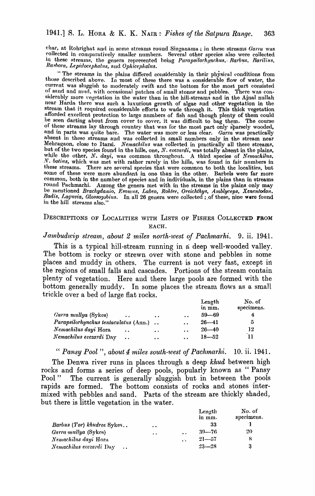#### 1941.] S. L. HORA & K. K. NAIR: Fishes of the Satpura Range. 363

char, at Rohrighat and in some streams round Singanama; in these streams Garra was collected in comparatively smaller numbers. Several other species also were collected in these streams, the genera represented being Parapsilorhynchus, Barbus, Barilius, Rasbora, Lepidocephalus, and Ophicephalus.

"The streams in the plains differed considerably in their physical conditions from those described above. In most of these there was a considerable flow of water, the current was sluggish to moderately swift and the bottom for the most part consisted of sand and mud. with occasional patches of small stones and pebbles. There was considerably more vegetation in the water than in the hill-streams and in the Ajnal nullah near Harda there was such a luxurious growth of algae and other vegetation in the<br>near Harda there was such a luxurious growth of algae and other vegetation in the<br>afforded excellent protection to large numbers of fish and of these streams lay through country that was for the most part only sparsely wooded, and in parts was quite bare. The water was more or less clear. Garra was practically absent in these streams and was collected in small numbers only in the stream near Mehragaon, close to Itarsi. Nemachilus was collected in practically all these streams, but of the two species found in the hills, one, N. evezardi, was totally absent in the plains, while the other, N. dayi, was common throughout. A third species of Nemachilus, N. botius, which was met with rather rarely in the hills, was found in fair numbers in these streams. There are several species that were common to both the localities, but some of these were more abundant in one than in the other. Barbels were far more common, both in the number of species and in individuals, in the plains than in streams round Pachmarhi. Among the genera met with in the streams in the plains only may<br>be mentioned Brachydanio, Esomus, Labeo, Rohtee, Oreichthys, Amblyceps, Xenentodon,<br>Badis, Laywia, Glossopobius. In all 26 genera were collec in the hill streams also.

# DESCRIPTIONS OF LOCALITIES WITH LISTS OF FISHES COLLECTED FROM EACH.

# Jambudwip stream, about 2 miles north-west of Pachmarhi. 9. ii. 1941.

This is a typical hill-stream running in a deep well-wooded valley. The bottom is rocky or strewn over with stone and pebbles in some places and muddy in others. The current is not very fast, except in the regions of small falls and cascades. Portions of the stream contain plenty of vegetation. Here and there large pools are formed with the bottom generally muddy. In some places the stream flows as a small trickle over a bed of large flat rocks.

|                                                 |                     |                      | Length<br>in mm. | No. of<br>specimens. |
|-------------------------------------------------|---------------------|----------------------|------------------|----------------------|
| Garra mullya (Sykes)<br>$\ddot{\bullet}$        | $\bullet$           | $\ddot{\phantom{a}}$ | $59 - 69$        |                      |
| Parapsilorhynchus tentaculatus (Ann.)           |                     | $\ddot{\phantom{a}}$ | $26 - 41$        | 5                    |
| Nemachilus dayi Hora<br>$\ddot{\phantom{a}}$    | $\bullet$ $\bullet$ | $\ddot{\phantom{a}}$ | $26 - 40$        | 12                   |
| Nemachilus evezardi Day<br>$\ddot{\phantom{a}}$ | $\bullet$           | $\ddot{\phantom{a}}$ | $18 - 52$        | 11                   |

"Pansy Pool", about 4 miles south-west of Pachmarhi. 10. ii. 1941.

The Denwa river runs in places through a deep khud between high rocks and forms a series of deep pools, popularly known as "Pansy The current is generally sluggish but in between the pools Pool " rapids are formed. The bottom consists of rocks and stones intermixed with pebbles and sand. Parts of the stream are thickly shaded, but there is little vegetation in the water.

|                            |                      |                      | Length<br>in mm. | No. of<br>specimens. |
|----------------------------|----------------------|----------------------|------------------|----------------------|
| Barbus (Tor) khudree Sykes | $\bullet$            |                      | 33               |                      |
| Garra mullya (Sykes)       | $\ddot{\phantom{0}}$ | $\ddot{\phantom{a}}$ | $39 - 76$        | 20                   |
| Nemachilus dayi Hora       |                      | c.                   | $21 - 57$        | 8                    |
| Nemachilus evezardi Day    |                      |                      | $23 - 28$        | 3                    |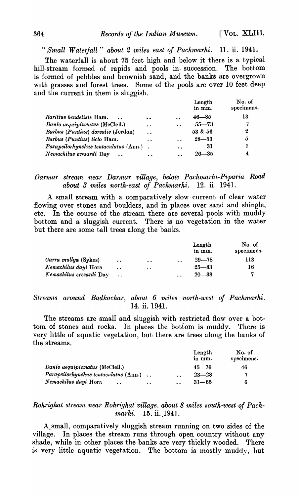*" Small Waterfall" about* 2 *1niles east of Pach.1na'rhi.* 1]. ii. 1941.

The waterfall is about 75 feet high and below it there is a typical hill-stream formed of rapids and pools in- succession. The bottom is formed of pebbles and brownish sand, and the banks are overgrown with grasses and forest trees. Some of the pools are over 10 feet deep and the current in them is sluggish.

|                                                  |                      |                      | Length<br>in mm. | No. of<br>specimens. |
|--------------------------------------------------|----------------------|----------------------|------------------|----------------------|
| Barilius bendelisis Ham.<br>$\ddot{\phantom{a}}$ | $\bullet$            | $\ddot{\phantom{a}}$ | $46 - 85$        | 13                   |
| Danio aequipinnatus (McClell.)                   | $\ddot{\phantom{a}}$ | $\ddot{\phantom{a}}$ | $55 - 73$        | 7                    |
| Barbus (Puntius) dorsalis (Jerdon)               | $\ddot{\phantom{a}}$ |                      | 53 & 56          | 2                    |
| Barbus (Puntius) ticto Ham.                      | $\ddot{\phantom{a}}$ | $\ddot{\phantom{a}}$ | $28 - 53$        | 5                    |
| Parapsilorhynchus tentaculatus (Ann.).           |                      | $\ddot{\phantom{a}}$ | 31               |                      |
| Nemachilus evezardi Day                          | $\ddot{\phantom{a}}$ | $\ddot{\phantom{a}}$ | $26 - 35$        | 4                    |

# *Darmar stream near Darmar village, below Pachmarhi-Piparia Road about 3 miles north-east of Pachmarhi.* 12. ii. 1941.

. A. small stream with a comparatively slow· current of clear water flowing over stones and boulders, and in places over sand and shingle, etc. In the course of the stream there are several pools with muddy bottom and a sluggish current. There is no vegetation in the water but there are some tall trees along the banks.

|                         |                      |                      |                      | Length<br>in mm. | No. of<br>specimens. |
|-------------------------|----------------------|----------------------|----------------------|------------------|----------------------|
| Garra mullya (Sykes)    | $\ddot{\phantom{a}}$ | $\bullet$            | $\ddot{\phantom{a}}$ | $29 - 78$        | 113                  |
| Nemachilus dayi Hora    | $\ddot{\phantom{0}}$ | $\ddot{\phantom{a}}$ |                      | $25 - 83$        | 16                   |
| Nemachilus evezardi Day |                      |                      | $\sim$ $\sim$        | $20 - 38$        | .,                   |

# *Streams around Badkachar, about 6 miles north-west of Pachmarhi.* 14. ii. 1941.

The streams are small and sluggish with restricted flow over a bottom of stones and rocks. In places the bottom is muddy. There is very little of aquatic vegetation, but there are trees along the banks of the streams.

|                                                           |                      | Length<br>in mm. | No. of<br>specimens. |
|-----------------------------------------------------------|----------------------|------------------|----------------------|
| Danio aequipinnatus (McClell.)                            |                      | $45 - 76$        | 46                   |
| Parapsilorhynchus tentaculatus (Ann.).                    | $\ddot{\phantom{a}}$ | $23 - 28$        | 7                    |
| Nemachilus dayi Hora<br>$\ddot{\phantom{a}}$<br>$\bullet$ | $\ddot{\phantom{a}}$ | $31 - 65$        | 6                    |

# *Rohrighat stream near Rohrighat village, about 8 miles south-west of Pachmarhi.* 15. ii. 1941.

A.small, comparatively sluggish stream running on two sides of the village. In places the stream runs through open country without any shade, while in other places the banks are very thickly wooded. There is very little aquatic vegetation. The bottom is mostly muddy, but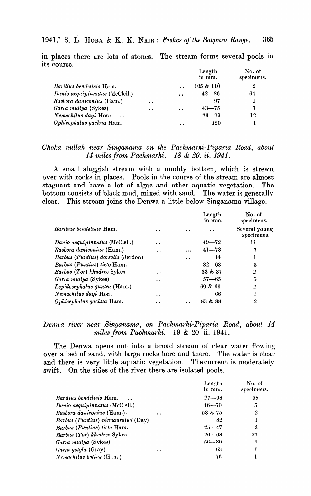in places there are lots of stones. The stream forms several pools in its course.

|                                              |                      |                      | Length<br>in mm. | No. of<br>specimens. |
|----------------------------------------------|----------------------|----------------------|------------------|----------------------|
| <i>Barilius bendelisis Ham.</i>              |                      | $\ddot{\phantom{a}}$ | 105 & 110        | 2                    |
| Danio aequipinnatus (McClell.)               |                      | $\ddot{\phantom{a}}$ | $42 - 86$        | 64                   |
| Rusbora daniconius (Ham.)                    | $\ddot{\phantom{a}}$ |                      | 97               | ı                    |
| Garra mullya (Sykes)                         | $\bullet$ $\bullet$  | $\ddot{\phantom{a}}$ | $43 - 75$        | 7                    |
| Nemachilus dayi Hora<br>$\ddot{\phantom{a}}$ |                      |                      | $23 - 79$        | 12                   |
| Ophicephalus gachua Ham.                     |                      | $\ddot{\phantom{0}}$ | 120              |                      |

# Choka nullah near Singanama on the Pachmarhi-Piparia Road, about 14 miles from Pachmarhi. 18 & 20. ii. 1941.

A small sluggish stream with a muddy bottom, which is strewn over with rocks in places. Pools in the course of the stream are almost stagnant and have a lot of algae and other aquatic vegetation. The bottom consists of black mud, mixed with sand. The water is generally This stream joins the Denwa a little below Singanama village. clear.

|                                    |                      |           | Length<br>in mm.     | No. of<br>specimens.        |
|------------------------------------|----------------------|-----------|----------------------|-----------------------------|
| Barilius bendelisis Ham.           | $\bullet$            |           | $\ddot{\phantom{a}}$ | Several young<br>specimens. |
| Danio aequipinnatus (McClell.)     | $\ddot{\phantom{a}}$ |           | $49 - 72$            | 11                          |
| Rasbora daniconius (Ham.)          | $\ddot{\phantom{1}}$ | .         | $41 - 78$            | 7                           |
| Barbus (Puntius) dorsalis (Jerdon) |                      | $\bullet$ | 44                   | 1                           |
| Barbus (Puntius) ticto Ham.        |                      |           | $32 - 63$            | 5                           |
| Barbus (Tor) khudree Sykes.        | $\ddot{\phantom{a}}$ |           | 33 & 37              | 2                           |
| Garra mullya (Sykes)               | . .                  |           | $57 - 65$            | 5                           |
| Lepidocephalus guntea (Ham.)       |                      |           | 69 & 66              | $\cdot$                     |
| Nemachilus dayi Hora               | $\ddot{\phantom{a}}$ |           | 66                   |                             |
| Ophicephalus gachua Ham.           |                      |           | 83 & 88              | 2                           |

# Denwa river near Singanama, on Pachmarhi-Piparia Road, about 14 miles from Pachmarhi. 19 & 20. ii. 1941.

The Denwa opens out into a broad stream of clear water flowing over a bed of sand, with large rocks here and there. The water is clear and there is very little aquatic vegetation. The current is moderately On the sides of the river there are isolated pools. swift.

|                                    |                      | Length<br>in mn. | No. of<br>specimens. |
|------------------------------------|----------------------|------------------|----------------------|
| <i>Barilius bendelisis</i> Ham.    |                      | $27 - 98$        | 58                   |
| Danio aequipinnatus (McClell.)     |                      | $46 - 70$        | 5                    |
| Rasbora daniconius (Ham.)          | $\ddot{\phantom{a}}$ | 58 & 75          | $\boldsymbol{2}$     |
| Barbus (Puntius) pinnauratus (Day) |                      | 82               |                      |
| Barbus (Puntius) ticto Ham.        |                      | $25 - 47$        | 3                    |
| Barbus (Tor) khudrec Sykes         |                      | $20 - 68$        | 27                   |
| Garra mullya (Sykes)               |                      | $56 - 80$        | 9                    |
| <i>Carra gotyla</i> (Gray)         | $\ddot{\phantom{a}}$ | 63               |                      |
| <i>Nemachilus botivs</i> (Ham.)    |                      | 76               |                      |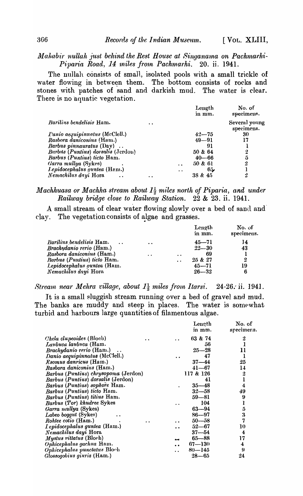#### Mahabir nullah just behind the Rest House at Singanama on Pachmarhi-Piparia Road, 14 miles from Pachmarhi. 20. ii. 1941.

The nullah consists of small, isolated pools with a small trickle of water flowing in between them. The bottom consists of rocks and stones with patches of sand and darkish mud. The water is clear. There is no aquatic vegetation.

|                                       |                      |                      | Length<br>in mm. | No. of<br>specimens.        |
|---------------------------------------|----------------------|----------------------|------------------|-----------------------------|
| <i>Barilius bendelisis</i> Ham.       | $\ddot{\phantom{a}}$ |                      |                  | Several young<br>specimens. |
| <i>Panio aequipinnatus</i> (McClell.) |                      |                      | $42 - 75$        | 30                          |
| Rasbora daniconius (Ham.)             |                      |                      | $49 - 91$        | 17                          |
| <i>Barbus pinnauratus</i> (Day)       |                      |                      | 91               |                             |
| Barbus (Puntius) dorsalis (Jerdon)    |                      |                      | 50 & 64          | 2                           |
| <i>Barbus (Puntius) ticto</i> Ham.    |                      |                      | $40 - 66$        | 5                           |
| Garra mullya (Sykes)                  |                      | $\ddot{\phantom{a}}$ | 50 & 61          | 2                           |
| Lepidocephalus guntea (Ham.)          |                      | $\bullet$ $\bullet$  | 65,              |                             |
| Nemachilus dayi Hora                  |                      |                      | 38 & 45          | 2                           |

# Machhuasa or Machha stream about  $I_2^1$  miles north of Piparia, and under Railway bridge close to Railway Station. 22 & 23. ii. 1941.

A small stream of clear water flowing slowly over a bed of sand and clay. The vegetation consists of algae and grasses.

|                                    |                      |                      | Length    | No. of     |
|------------------------------------|----------------------|----------------------|-----------|------------|
|                                    |                      |                      | in mm.    | specimens. |
| Barilius bendelisis Ham.<br>$\sim$ | $\bullet$            |                      | $45 - 71$ | 14         |
| Brachydanio rerio (Ham.)           |                      |                      | $22 - 30$ | 43         |
| Rasbora daniconius (Ham.)          | $\ddot{\phantom{a}}$ | $\cdot$ $\cdot$      | 69        |            |
| Barbus (Puntius) ticto Ham.        |                      | $\ddot{\phantom{a}}$ | 25 & 27   | 2          |
| Lepidocephalus guntea (Ham.        |                      |                      | $45 - 71$ | 19         |
| <i>Nemachilus dayi</i> Hora        |                      |                      | $26 - 32$ | 6          |

Stream near Mehra village, about  $1\frac{1}{2}$  miles from Itarsi. 24-26. ii. 1941.

It is a small sluggish stream running over a bed of gravel and mud. The banks are muddy and steep in places. The water is somewhat turbid and harbours large quantities of filamentous algae.

|                      | Length    | No. of                                                                      |
|----------------------|-----------|-----------------------------------------------------------------------------|
|                      |           | specimers.                                                                  |
|                      | 63 & 74   | 2                                                                           |
|                      | 56        | 1                                                                           |
|                      | $25 - 28$ | 11                                                                          |
| $\ddot{\phantom{a}}$ | 47        | 1                                                                           |
|                      | $37 - 44$ | 25                                                                          |
|                      | 41—67     | 14                                                                          |
|                      |           | 2                                                                           |
|                      | 41        |                                                                             |
|                      | $35 - 48$ | 4                                                                           |
|                      | $32 - 58$ | 49                                                                          |
|                      |           | 9                                                                           |
|                      |           | ı                                                                           |
|                      |           | 5                                                                           |
|                      |           | 3                                                                           |
|                      | $50 - 58$ | 7                                                                           |
| $\ddot{\phantom{0}}$ | $52 - 67$ | 10                                                                          |
|                      | $37 - 54$ | 4                                                                           |
| $-1$                 | $65 - 88$ | 17                                                                          |
| $\ddot{\phantom{0}}$ |           | 4                                                                           |
|                      | 80—145    | 9                                                                           |
|                      | $28 - 65$ | 24                                                                          |
|                      |           | in mm.<br>117 & 126<br>59—81<br>104<br>$63 - 94$<br>$86 - 97$<br>$67 - 130$ |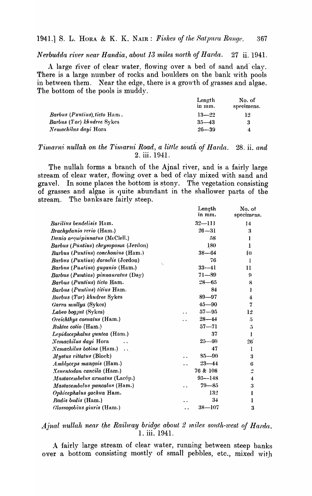Nerbudda river near Handia, about 13 miles north of Harda. 27 ii. 1941.

A large river of clear water. flowing over a bed of sand and clay. There is a large number of rocks and boulders on the bank with pools in between them. Near the edge, there is a growth of grasses and algae. The bottom of the pools is muddy.

| Length<br>in mm. | No. of<br>specimens. |
|------------------|----------------------|
| $13 - 22$        | 12                   |
| $35 - 43$        | 3                    |
| $26 - 39$        | 4                    |
|                  |                      |

# Timarni nullah on the Timarni Road, a little south of Harda. 28. ii. and 2. iii. 1941.

The nullah forms a branch of the Ajnal river, and is a fairly large stream of clear water, flowing over a bed of clay mixed with sand and gravel. In some places the bottom is stony. The vegetation consisting of grasses and algae is quite abundant in the shallower parts of the stream. The banks are fairly steep.

|                                          | Length     | No. of         |
|------------------------------------------|------------|----------------|
|                                          | in mm.     | specimens.     |
| <i>Barilius bendelisis Ham.</i>          | $32 - 111$ | 14             |
| Brachydanio rerio (Ham.)                 | $26 - 31$  | 3              |
| Danio aequipinnatus (McClell.)           | 58         | $\mathbf{l}$   |
| Barbus (Puntius) chrysopoma (Jerdon)     | 180        | 1              |
| Barbus (Puntius) conchonius (Ham.)       | $38 - 64$  | I <sub>0</sub> |
| Barbus (Puntius) dorsalis (Jerdon)       | 76         | 1              |
| ٠,<br>Barbus (Puntius) guganio (Ham.)    | $33 - 41$  | $\mathbf{11}$  |
| Barbus (Puntius) pinnauratus (Day)       | $71 - 89$  | Ģ              |
| Barbus (Puntius) ticto Ham.              | $28 - 65$  | 8              |
| Barbus (Puntius) titius Ham.             | 84         | 1              |
| Barbus (Tor) khudree Sykes               | $89 - 97$  | 4              |
| Garra mullya (Sykes)                     | $45 - 90$  | 7              |
| Labeo boggut (Sykes)                     | $57 - 95$  | 12             |
| Oreichthys cosuatus (Ham.)               | $28 - 44$  | 5              |
| Rohtee cotio (Ham.)                      | $57 - 71$  | $\mathbf{5}$   |
| Lepidocephalus guntea (Ham.)             | 37         | $\mathbf{1}$   |
| Nemachilus dayi Hora                     | $25 - 60$  | 26             |
| <i>Nemachilus botius</i> (Ham.) $\ldots$ | 47         | 1              |
| Mystus rittatus (Bloch)                  | $85 - 90$  | 3              |
| Amblyceps mangois (Ham.)                 | $23 - 44$  | 6              |
| Xenentodon cancila (Ham.)                | 76 & 108   | $\frac{1}{2}$  |
| Mastacembelus armatus (Lacép.)           | $95 - 148$ | 4              |
| Mastacembelus pancalus (Ham.)            | $79 - 85$  | 3              |
| Ophicephalus gachua Ham.                 | 132        | 1              |
| Badis budis (Ham.)                       | 34         | 1              |
| Glossogobius giuris (Ham.)               | $38 - 107$ | 3              |

# Ajnal nullah near the Railway bridge about 2 miles south-west of Harda. 1. iii. 1941.

A fairly large stream of clear water, running between steep banks over a bottom consisting mostly of small pebbles, etc., mixed with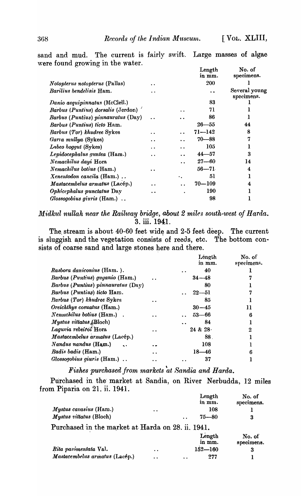[VOL. XLIII,

sand and mud. The current is fairly swift. Large masses of algae were found growing in the water.  $\overline{a}$ 

|                                    |                      |     | Length<br>in mm. | No. of<br>specimens.        |
|------------------------------------|----------------------|-----|------------------|-----------------------------|
| Notopterus notopterus (Pallas)     |                      |     | 200              |                             |
| Barilius bendelisis Ham.           |                      |     |                  | Several young<br>specimens. |
| Danio aequipinnatus (McClell.)     |                      |     | 83               |                             |
| Rarbus (Puntius) dorsalis (Jerdon) |                      |     | 71               |                             |
| Barbus (Puntius) pinnauratus (Day) |                      |     | 86               |                             |
| Barbus (Puntius) ticto Ham.        |                      |     | $26 - 55$        | 44                          |
| Barbus (Tor) khudree Sykes         |                      |     | 71—142           | 8                           |
| Garra mullya (Sykes)               | $\ddot{\phantom{0}}$ |     | $70 - 88$        | 7                           |
| Labeo boggut (Sykes)               | $\cdot$ $\cdot$      | . . | 105              |                             |
| Lepidocephalus guntea (Ham.)       | $\cdot$ .            |     | $44 - 57$        | 3                           |
| Nemachilus dayi Hora               |                      | . . | $27 - 60$        | 14                          |
| Nemachilus botius (Ham.)           |                      |     | $56 - 71$        | 4                           |
| Xenentodon cancila (Ham.)          |                      | ٠.  | 51               |                             |
| Mastacembelus armatus (Lacép.)     |                      |     | $70 - 109$       | 4                           |
| Ophicephalus punctatus Day         |                      |     | 190              |                             |
| Glossogobius giuris (Ham.)         |                      |     | 98               |                             |

Midkul nullah near the Railway bridge, about 2 miles south-west of Harda. 3. iii. 1941.

The stream is about 40-60 feet wide and 2-5 feet deep. The current is sluggish and the vegetation consists of reeds, etc. The bottom consists of coarse sand and large stones here and there.

|                                        |     | Lêngth<br>in mm. | No. of<br>specimens |
|----------------------------------------|-----|------------------|---------------------|
| Rasbora daniconius (Ham.).             |     | 40<br>. .        |                     |
| <i>Barbus (Puntius) guganio (Ham.)</i> |     | $34 - 48$        |                     |
| Barbus (Puntius) pinnauratus (Day)     |     | 80               |                     |
| Barbus (Puntius) ticto Ham.            |     | $22 - 51$        | 7                   |
| <b>Barbus (Tor) khudree Sykes</b>      |     | 85               |                     |
| Oreichthys cosuatus (Ham.)             |     | $30 - 45$        | 11                  |
| Nemachilus botius (Ham.).              |     | $53 - 66$        | 6                   |
| <i>Mystus vittatus (Bloch)</i>         |     | 84               |                     |
| Laguria rebeiroi Hora                  |     | 24 & 28          | $\boldsymbol{2}$    |
| Mastacembelus armatus (Lacép.)         |     | 88.              |                     |
| Nandus nandus (Ham.)                   |     | 108              |                     |
| Badis badis (Ham.)                     | . . | $18 - 46$        | 6                   |
| Glossogobius giuris (Ham.).            |     | 37               |                     |

Fishes purchased from markets at Sandia and Harda.

Purchased in the market at Sandia, on River Nerbudda, 12 miles from Piparia on 21. ii. 1941.

|                                                   |                      |                      | Length<br>in mm. | No. of<br>specimens. |
|---------------------------------------------------|----------------------|----------------------|------------------|----------------------|
| Mystus cavasius (Ham.)                            | $\ddot{\phantom{a}}$ |                      | 108              |                      |
| Mystus vittatus (Bloch)                           |                      | $\ddot{\phantom{a}}$ | $75 - 80$        | 3                    |
| Purchased in the market at Harda on 28. ii. 1941. |                      |                      |                  |                      |
|                                                   |                      |                      | Length<br>in mm. | No. of<br>specimens. |
| Rita pavimentata Val.                             | $\ddot{\phantom{a}}$ |                      | $152 - 160$      | 3                    |
| Mastacembelus armatus (Lacép.)                    | $\ddot{\phantom{a}}$ |                      | 277              |                      |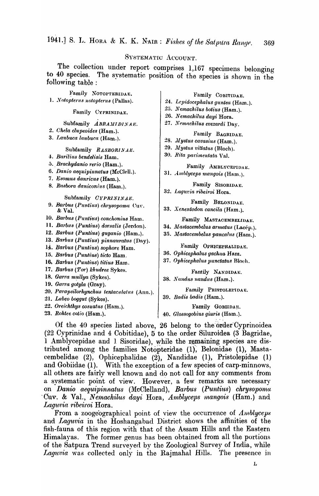## SYSTEMATIC ACCOUNT.

The collection under report comprises 1,167 specimens belonging The systematic position of the species is shown in the to 40 species. following table:

Family NOTOPTERIDAE. 1. Notopterus notopterus (Pallas).

Family CYPRINIDAE.

# Subfamily ABRAMIDINAE.

- 2. Chela clupeoides (Ham.).
- 3. Laubuca laubuca (Ham.).

#### Subfamily RASBORINAE.

- 4. Barilius bendelisis Ham.
- 5. Brachydanio rerio (Ham.).
- 6. Danio aequipinnatus (McClell.).
- 7. Esomus danricus (Ham.).
- 8. Rasbora daniconius (Ham.).

#### Subfamily CYPRININAE.

- 9. Barbus (Puntius) chrysopoma Cuv. & Val.
- 10. Barbus (Puntius) conchonius Ham.
- 11. Barbus (Puntius) dorsalis (Jerdon).
- 12. Barbus (Puntius) guganio (Ham.).
- 13. Barbus (Puntius) pinnauratus (Day).
- 14. Barbus (Puntius) sophore Ham.
- 15. Barbus (Puntius) ticto Ham.
- 16. Barbus (Puntius) titius Ham.
- 17. Barbus (Tor) khudree Sykes.
- 18. Garra mullya (Sykes).
- 19. Garra gotyla (Gray).
- 20. Parapsilorhynchus tentaculatus (Ann.).
- 21. Labeo boggut (Sykes).
- 22. Oreichthys cosuatus (Ham.).
- 23. Rohtee cotio (Ham.).

### Family COBITIDAE.

- 24. Lepidocephalus guntea (Ham.).
- 25. Nemachilus botius (Ham.).
- 26. Nemachilus dayi Hora.
- 27. Nemachilus evezardi Day.

Family BAGRIDAE.

- 28. Mystus cavasius (Ham.).
- 29. Mystus vittatus (Bloch).
- 30. Rita parimentata Val.

Family AMBLYCEPIDAE. 31. Amblyceps mangois (Ham.).

Family SISORIDAE.

- 32. Laguria ribeiroi Hora.
	- Family BELONIDAE.
- 33. Xenentodon cancila (Ham.).

Family MASTACEMBELIDAE.

- 34. Mastacembelus armatus (Lacép.).
- 35. Mastacembelus pancalus (Ham.).

#### Family OPHICEPHALIDAE.

- 36. Ophicephalus gachua Ham.
- 37. Ophicephalus punctatus Bloch.

Family NANDIDAE. 38. Nandus nandus (Ham.).

Family PRISTOLEPIDAE.

39. Badis badis (Ham.).

Family GOBHDAE.

40. Glossogobius giuris (Ham.).

Of the 40 species listed above, 26 belong to the order Cyprinoidea (22 Cyprinidae and 4 Cobitidae), 5 to the order Siluroidea (3 Bagridae, 1 Amblycepidae and 1 Sisoridae), while the remaining species are distributed among the families Notopteridae (1), Belonidae (1), Mastacembelidae (2), Ophicephalidae (2), Nandidae (1), Pristolepidae (1) and Gobiidae (1). With the exception of a few species of carp-minnows, all others are fairly well known and do not call for any comments from a systematic point of view. However, a few remarks are necessary on Danio aequipinnatus (McClelland), Barbus (Puntius) chrysopoma Cuv. & Val., Nemachilus dayi Hora, Amblyceps mangois (Ham.) and Laquvia ribeiroi Hora.

From a zoogeographical point of view the occurrence of  $Amolyceps$ and Laguvia in the Hoshangabad District shows the affinities of the fish-fauna of this region with that of the Assam Hills and the Eastern The former genus has been obtained from all the portions Himalayas. of the Satpura Trend surveyed by the Zoological Survey of India, while Laguvia was collected only in the Rajmahal Hills. The presence in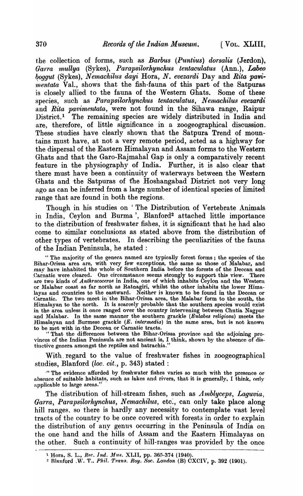I VOL. XLIII.

the collection of forms, such as Barbus (Puntius) dorsalis (Jerdon), Garra mullya (Sykes), Parapsilorhynchus tentaculatus (Ann.), Labeo boggut (Sykes), Nemachilus dayi Hora, N. evezardi Day and Rita pavi*mentata* Val., shows that the fish-fauna of this part of the Satpuras is closely allied to the fauna of the Western Ghats. Some of these species, such as *Parapsilorhynchus* tentaculatus, Nemachilus evezardi and Rita pavimentata, were not found in the Sihawa range. Raipur District.<sup>1</sup> The remaining species are widely distributed in India and are, therefore, of little significance in a zoogeographical discussion. These studies have clearly shown that the Satpura Trend of mountains must have, at not a very remote period, acted as a highway for the dispersal of the Eastern Himalayan and Assam forms to the Western Ghats and that the Garo-Rajmahal Gap is only a comparatively recent feature in the physiography of India. Further, it is also clear that there must have been a continuity of waterways between the Western Ghats and the Satpuras of the Hoshangabad District not very long ago as can be inferred from a large number of identical species of limited range that are found in both the regions.

Though in his studies on 'The Distribution of Vertebrate Animals in India, Ceylon and Burma', Blanford<sup>2</sup> attached little importance to the distribution of freshwater fishes, it is significant that he had also come to similar conclusions as stated above from the distribution of other types of vertebrates. In describing the peculiarities of the fauna of the Indian Peninsula, he stated :

The majority of the genera named are typically forest forms; the species of the Bihar-Orissa area are, with very few exceptions, the same as those of Malabar, and may have inhabited the whole of Southern India before the forests of the Deccan and Carnatic were cleared. One circumstance seems strongly to support this view. There are two kinds of *Anthracoceros* in India, one of which inhabits Ceylon and the Western or Malabar coast as far north as Ratnagiri, whilst layas and countries to the eastward. Neither is known to be found in the Deccan or Carnatic. The two meet in the Bihar-Orissa area, the Malabar form to the south, the Himalayan to the north. It is scarcely probable that the southern species would exist<br>in the area unless it once ranged over the country intervening between Chutia Nagpur In the area unless it once ranged over the country intervening between Chuta Nagpur<br>and Malabar. In the same manner the southern grackle (Eulabes religiosa) meets the<br>Himalayan and Burmese grackle (E. intermedia) in the sa

With regard to the value of freshwater fishes in zoogeographical studies, Blanford (loc. cit., p. 343) stated :

"The evidence afforded by freshwater fishes varies so much with the presence or absence of suitable habitats, such as lakes and rivers, that it is generally, I think, only applicable to large areas.'

The distribution of hill-stream fishes, such as Amblyceps, Laguvia, Garra, Parapsilorhynchus, Nemachilus, etc., can only take place along hill ranges, so there is hardly any necessity to contemplate vast level tracts of the country to be once covered with forests in order to explain the distribution of any genus occurring in the Peninsula of India on the one hand and the hills of Assam and the Eastern Himalayas on the other. Such a continuity of hill-ranges was provided by the once

<sup>&</sup>lt;sup>1</sup> Hora, S. L., *Rec. Ind. Mus. XLII*, pp. 365-374 (1940).<br><sup>2</sup> Blanford .W. T., *Phil. Trans. Roy. Soc. London* (B) CXCIV, p. 392 (1901).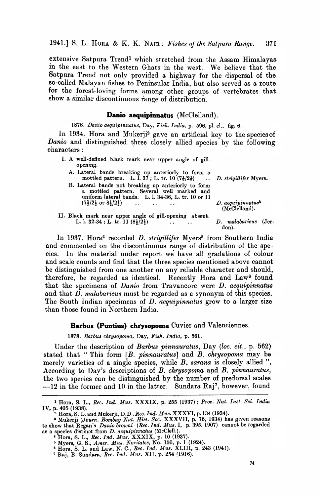1941.] S. L. HORA & K. K. NAIR: *Fishes of the Satpura Range.* 371

extensive Satpura Trend<sup>1</sup> which stretched from the Assam Himalayas in the east to the Western Ghats in the west. We believe that the Satpura Trend not only provided a highway for the dispersal of the so-called Malayan fishes to Peninsular India, but also served as a route for the forest-loving forms among other groups of vertebrates that show a similar discontinuous range of distribution.

# Danio aequipinnatus (McClelland).

1878. Danio aequipinnatus, Day, Fish. *India*, p. 596, pl. cl., fig. 6.

In 1934, Hora and Mukerji<sup>2</sup> gave an artificial key to the species of *Danio* and distinguished three closely allied species by the following characters:

| I. A well-defined black mark near upper angle of gill-<br>opening.                                                                                       |  |
|----------------------------------------------------------------------------------------------------------------------------------------------------------|--|
| A. Lateral bands breaking up anteriorly to form a<br>mottled pattern. L. I. 37; L. tr. 10 $(7\frac{1}{2}/2\frac{1}{2})$ D. strigillifer Myers.           |  |
| B. Lateral bands not breaking up anteriorly to form<br>a mottled pattern. Several well marked and<br>uniform lateral bands. L. l. 34-36, L. tr. 10 or 11 |  |

 $(7\frac{1}{2}/2\frac{1}{2} \text{ or } 8\frac{1}{2}/2\frac{1}{2})$  ...... D. aequipinnatus<sup>3</sup> (McClelland). II. Black mark near upper angle of gill-opening absent. L. I. 32-34; L. tr. II *(81/21) D. rnalabaricus* (Jer-

don).

In 1937, Hora<sup>4</sup> recorded *D. strigillifer* Myers<sup>5</sup> from Southern India and commented on the discontinuous range of distribution of the species. In the material under report we have all gradations of colour and scale counts and find that the three species mentioned above cannot be distinguished from one another on any reliable character and should, therefore, be regarded as identical. Recently Hora and Law6 found that the specimens of *Danio* from Travancore were *D. aequipinnatus* and that D. *malabaricus* must be regarded as a synonym of this species. The South Indian specimens of D. *aequlipinnatus* grow' to a larger size than those found in Northern India.

#### Barbus (Puntius) chrysopoma Cuvier and Valenciennes.

*1878. Barbus ehrysopoma,* Day, *Fish. India,* p. 561.

Under the description of *Barbus pinnauratus,* Day *(loe. cit.,* p. 562) stated that "This form *[B. pinnauratus]* and *B. chrysopoma* may be merely varieties of a single species, while *B*, sarana is closely allied". According to Day's descriptions of *B. chrysopoma* and *B. pinnauratus*, the two species can be distinguished by the number of predorsal scales  $-12$  in the former and 10 in the latter. Sundara Raj<sup>7</sup>, however, found

<sup>1</sup> Hora, S. L., *Ree. Ind. Mus.* XXXIX, p. 255 (1937) ; *Proe. Nat. Inst. Sci. India*  IV, p. 405 (1938).

<sup>2</sup> Hora, S. L. and Mukerji, *D.D.,Rec. Ind. Mus.* XXXVI, p.134 (1934).

<sup>&</sup>lt;sup>3</sup> Mukerji *(Journ. Bombay Nut. Hist. Soc.* XXXVII, p. 76, 1934) has given reasons to show that Regan's *Danio browni (Ree. Ind. Mus.* I, p. 395. 1907) cannot be regarded as a species distinct from *D. aequipinnatus* (McClel1.).

<sup>4</sup>Hora, S. L., *Ree. Ind. Mus.* XXXIX, p. 10 (1937).

<sup>&</sup>lt;sup>5</sup> Myers, G. S., *Amer. Mus. Novitates*, No. 150, p. 1 (1924).

<sup>6</sup> Hora, S. L. and Law, N. C., *Ree. Ind. Mus.* XLIII, p. 243 (1941).

<sup>&</sup>lt;sup>7</sup> Raj, B. Sundara, *Rec. Ind. Mus. XII*, p. 254 (1916).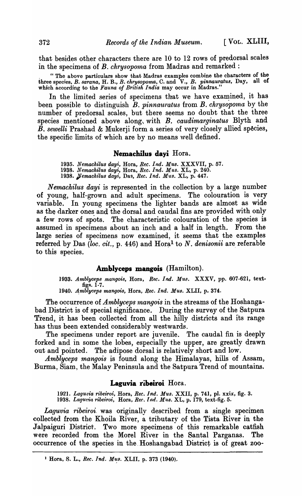that besides other characters there are 10 to 12 rows of predorsal scales in the specimens of *B. chrysopoma* from Madras and remarked:

. "The above particulars show that Madras examples combine the characters of the three species, *B. sarana*, H. B., *B. chrysopoma*, C. and V., *B. pinnauratus*, Day, all of which according to the *Fauna of British India* may occur in Madras."

In the limited series of specimens that we have examined, it has been possible to distinguish *B. pinnau'ratus* from *B. chrysopoma* by the number of predorsal scales, but there seems no doubt that the three species mentioned above along, with *B. caudimarginatus* Blyth and  $\overline{B}$ , sewelli Prashad & Mukerji form a series of very closely allied species, the specific limits of which are by no means well defined.

#### **Nemacbilus dayi** Hora.

*1935. Nemachilus duyi,* Hora, *Ree. Ind. Mus.* XXXVII, p. 57. 1938. Nemachilus dayi, Hora, *Rec. Ind. Mus. XL*, p. 240. *1938. pemaehilus dayi,* Dag, *Bee. Ind. Mus.* XL, p. 447.

*Nemachilus dayi* is represented in the collection by a large number of young, half-grown and adult specimens. The colouration is very variable. In young specimens the lighter bands are almost as wide as the darker ones and the dorsal and caudal fins are provided with only a few rows of spots. The characteristic colouration of the species is assumed in specimens about an inch and a half in length.. From the large series of specimens now examined, it seems that the examples referred by Das *(loc. cit., p.* 446) and Hora<sup>1</sup> to N. *denisonii* are referable to this species.

### **Amblyceps mangois** (Hamilton).

1933. Amblyceps mangois, Hora, Rec. Ind. Mus. XXXV, pp. 607-621, textfigs.  $1-7$ .

*1940. 4mblyl)eps mangois,* Hora, *Ree. Ind. Mus.* XLII, p. 374.

The occurrence of *Amblyceps mangois* in the streams of the Hoshangabad District is of special significance.. During the survey of the Satpura Trend, it has been collected from all the hilly districts and its range has thus been extended considerably westwards.

The specimens under report are juvenile. The caudal fin is deeply forked and in some the lobes, especially the upper, are greatly drawn out and pointed. The adipose dorsal is relatively short and low.

*Amblyceps mangois* is found along the Himalayas, hills of Assam, Burma, Siam, the Malay Peninsula and the Satpura Trend of mountains.

#### **Laguvia ribeiroi** Hora.

*1921. Lagul)ia ribeiroi,* Hora, *Ree. Ind. Mus.* XXII, p. 741, pI. xxix, fig. 3. 1938. *Laguvia ribeiroi, Yora, Rec. Ind. Mus.* XL, p. 179, text-fig. 5.

*Laguvia ribeiroi.* was originally described from a single specimen collected from the Khoila River, a tributary of the Tista River in the Jalpaiguri District. Two more specimens of this remarkable catfish were recorded from the Morel River in the Santal Parganas. The occurrence of the species in the Hoshangabad District is of great zoo-

<sup>&</sup>lt;sup>1</sup> Hora, S. L., *Rec. Ind. Mus. XLII*, p. 373 (1940).